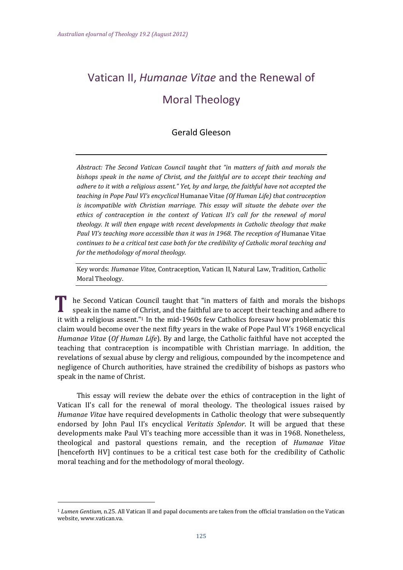# Vatican II, *Humanae Vitae* and the Renewal of Moral Theology

# Gerald Gleeson

*Abstract: The Second Vatican Council taught that "in matters of faith and morals the bishops speak in the name of Christ, and the faithful are to accept their teaching and adhere to it with a religious assent." Yet, by and large, the faithful have not accepted the teaching in Pope Paul VI's encyclical* Humanae Vitae *(Of Human Life) that contraception is incompatible with Christian marriage. This essay will situate the debate over the ethics of contraception in the context of Vatican II's call for the renewal of moral theology. It will then engage with recent developments in Catholic theology that make Paul VI's teaching more accessible than it was in 1968. The reception of* Humanae Vitae *continues to be a critical test case both for the credibility of Catholic moral teaching and for the methodology of moral theology.* 

Key words: *Humanae Vitae*, Contraception, Vatican II, Natural Law, Tradition, Catholic Moral Theology.

he Second Vatican Council taught that "in matters of faith and morals the bishops speak in the name of Christ, and the faithful are to accept their teaching and adhere to it with a religious assent."<sup>1</sup> In the mid-1960s few Catholics foresaw how problematic this claim would become over the next fifty years in the wake of Pope Paul VI's 1968 encyclical *Humanae Vitae* (Of *Human Life*). By and large, the Catholic faithful have not accepted the teaching that contraception is incompatible with Christian marriage. In addition, the revelations of sexual abuse by clergy and religious, compounded by the incompetence and negligence of Church authorities, have strained the credibility of bishops as pastors who speak in the name of Christ.

This essay will review the debate over the ethics of contraception in the light of Vatican II's call for the renewal of moral theology. The theological issues raised by *Humanae Vitae* have required developments in Catholic theology that were subsequently endorsed by John Paul II's encyclical *Veritatis Splendor*. It will be argued that these developments make Paul VI's teaching more accessible than it was in 1968. Nonetheless, theological and pastoral questions remain, and the reception of *Humanae Vitae* [henceforth HV] continues to be a critical test case both for the credibility of Catholic moral teaching and for the methodology of moral theology.

<sup>&</sup>lt;sup>1</sup> *Lumen Gentium,* n.25. All Vatican II and papal documents are taken from the official translation on the Vatican website, www.vatican.va.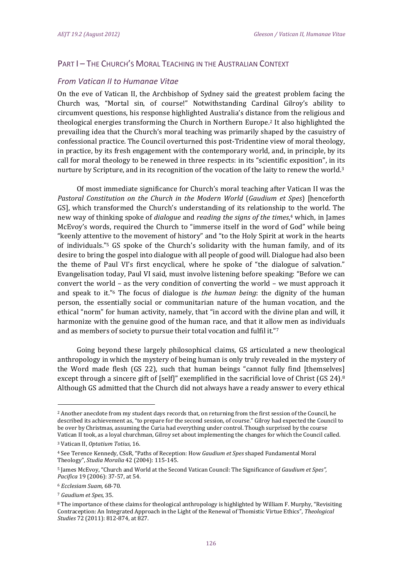# PART I - THE CHURCH'S MORAL TEACHING IN THE AUSTRALIAN CONTEXT

### *From Vatican II to Humanae Vitae*

On the eve of Vatican II, the Archbishop of Sydney said the greatest problem facing the Church was, "Mortal sin, of course!" Notwithstanding Cardinal Gilroy's ability to circumvent questions, his response highlighted Australia's distance from the religious and theological energies transforming the Church in Northern Europe.<sup>2</sup> It also highlighted the prevailing idea that the Church's moral teaching was primarily shaped by the casuistry of confessional practice. The Council overturned this post-Tridentine view of moral theology, in practice, by its fresh engagement with the contemporary world, and, in principle, by its call for moral theology to be renewed in three respects: in its "scientific exposition", in its nurture by Scripture, and in its recognition of the vocation of the laity to renew the world.<sup>3</sup>

Of most immediate significance for Church's moral teaching after Vatican II was the *Pastoral Constitution on the Church in the Modern World* (*Gaudium et Spes*) [henceforth GS], which transformed the Church's understanding of its relationship to the world. The new way of thinking spoke of *dialogue* and *reading the signs of the times*, 4 which, in James McEvoy's words, required the Church to "immerse itself in the word of God" while being "keenly attentive to the movement of history" and "to the Holy Spirit at work in the hearts of individuals."<sup>5</sup> GS spoke of the Church's solidarity with the human family, and of its desire to bring the gospel into dialogue with all people of good will. Dialogue had also been the theme of Paul VI's first encyclical, where he spoke of "the dialogue of salvation." Evangelisation today, Paul VI said, must involve listening before speaking: "Before we can convert the world – as the very condition of converting the world – we must approach it and speak to it."<sup>6</sup> The focus of dialogue is *the human being*: the dignity of the human person, the essentially social or communitarian nature of the human vocation, and the ethical "norm" for human activity, namely, that "in accord with the divine plan and will, it harmonize with the genuine good of the human race, and that it allow men as individuals and as members of society to pursue their total vocation and fulfil it." $7$ 

Going beyond these largely philosophical claims, GS articulated a new theological anthropology in which the mystery of being human is only truly revealed in the mystery of the Word made flesh (GS 22), such that human beings "cannot fully find [themselves] except through a sincere gift of [self]" exemplified in the sacrificial love of Christ  $(GS 24).8$ Although GS admitted that the Church did not always have a ready answer to every ethical

<sup>&</sup>lt;sup>2</sup> Another anecdote from my student days records that, on returning from the first session of the Council, he described its achievement as, "to prepare for the second session, of course." Gilroy had expected the Council to be over by Christmas, assuming the Curia had everything under control. Though surprised by the course Vatican II took, as a loyal churchman, Gilroy set about implementing the changes for which the Council called.

<sup>3</sup> Vatican II, *Optatium Totius,* 16. 

<sup>&</sup>lt;sup>4</sup> See Terence Kennedy, CSsR, "Paths of Reception: How *Gaudium et Spes* shaped Fundamental Moral Theology", *Studia Moralia* 42 (2004): 115‐145. 

<sup>5</sup> James McEvoy, "Church and World at the Second Vatican Council: The Significance of *Gaudium et Spes", Pacifica* 19 (2006): 37-57, at 54.

<sup>6</sup> *Ecclesiam Suam,* 68‐70. 

<sup>7</sup> *Gaudium et Spes*, 35. 

<sup>&</sup>lt;sup>8</sup> The importance of these claims for theological anthropology is highlighted by William F. Murphy, "Revisiting Contraception: An Integrated Approach in the Light of the Renewal of Thomistic Virtue Ethics", *Theological Studies* 72 (2011): 812-874, at 827.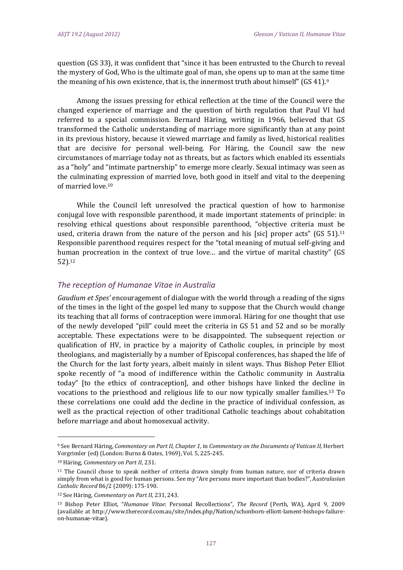question (GS 33), it was confident that "since it has been entrusted to the Church to reveal the mystery of God, Who is the ultimate goal of man, she opens up to man at the same time the meaning of his own existence, that is, the innermost truth about himself" (GS 41).<sup>9</sup>

Among the issues pressing for ethical reflection at the time of the Council were the changed experience of marriage and the question of birth regulation that Paul VI had referred to a special commission. Bernard Häring, writing in 1966, believed that GS transformed the Catholic understanding of marriage more significantly than at any point in its previous history, because it viewed marriage and family as lived, historical realities that are decisive for personal well-being. For Häring, the Council saw the new circumstances of marriage today not as threats, but as factors which enabled its essentials as a "holy" and "intimate partnership" to emerge more clearly. Sexual intimacy was seen as the culminating expression of married love, both good in itself and vital to the deepening of married love.<sup>10</sup>

While the Council left unresolved the practical question of how to harmonise conjugal love with responsible parenthood, it made important statements of principle: in resolving ethical questions about responsible parenthood, "objective criteria must be used, criteria drawn from the nature of the person and his [sic] proper acts" (GS 51).<sup>11</sup> Responsible parenthood requires respect for the "total meaning of mutual self-giving and human procreation in the context of true love... and the virtue of marital chastity" (GS 52).12

#### *The reception of Humanae Vitae in Australia*

*Gaudium et Spes'* encouragement of dialogue with the world through a reading of the signs of the times in the light of the gospel led many to suppose that the Church would change its teaching that all forms of contraception were immoral. Häring for one thought that use of the newly developed "pill" could meet the criteria in GS 51 and 52 and so be morally acceptable. These expectations were to be disappointed. The subsequent rejection or qualification of HV, in practice by a majority of Catholic couples, in principle by most theologians, and magisterially by a number of Episcopal conferences, has shaped the life of the Church for the last forty years, albeit mainly in silent ways. Thus Bishop Peter Elliot spoke recently of "a mood of indifference within the Catholic community in Australia today" (to the ethics of contraception), and other bishops have linked the decline in vocations to the priesthood and religious life to our now typically smaller families.<sup>13</sup> To these correlations one could add the decline in the practice of individual confession, as well as the practical rejection of other traditional Catholic teachings about cohabitation before marriage and about homosexual activity.

<sup>9</sup> See Bernard Häring, *Commentary on Part II, Chapter 1*, in *Commentary on the Documents of Vatican II,* Herbert Vorgrimler (ed) (London: Burns & Oates, 1969), Vol. 5, 225-245.

<sup>10</sup> Häring, *Commentary* on Part II, 231.

 $11$  The Council chose to speak neither of criteria drawn simply from human nature, nor of criteria drawn simply from what is good for human persons. See my "Are persons more important than bodies?", Australasian *Catholic Record* 86/2 (2009): 175‐190. 

<sup>12</sup> See Häring, *Commentary on Part II,* 231, 243. 

<sup>13</sup> Bishop Peter Elliot, "*Humanae Vitae*: Personal Recollections", *The Record* (Perth, WA), April 9, 2009 (available at http://www.therecord.com.au/site/index.php/Nation/schonborn-elliott-lament-bishops-failureon‐humanae‐vitae).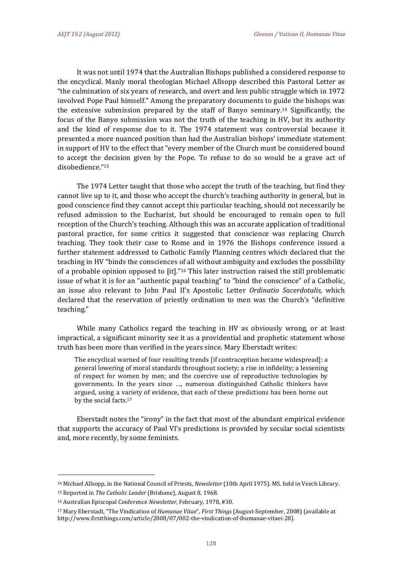It was not until 1974 that the Australian Bishops published a considered response to the encyclical. Manly moral theologian Michael Allsopp described this Pastoral Letter as "the culmination of six years of research, and overt and less public struggle which in 1972 involved Pope Paul himself." Among the preparatory documents to guide the bishops was the extensive submission prepared by the staff of Banyo seminary.<sup>14</sup> Significantly, the focus of the Banyo submission was not the truth of the teaching in HV, but its authority and the kind of response due to it. The 1974 statement was controversial because it presented a more nuanced position than had the Australian bishops' immediate statement in support of HV to the effect that "every member of the Church must be considered bound to accept the decision given by the Pope. To refuse to do so would be a grave act of disobedience."15 

The 1974 Letter taught that those who accept the truth of the teaching, but find they cannot live up to it, and those who accept the church's teaching authority in general, but in good conscience find they cannot accept this particular teaching, should not necessarily be refused admission to the Eucharist, but should be encouraged to remain open to full reception of the Church's teaching. Although this was an accurate application of traditional pastoral practice, for some critics it suggested that conscience was replacing Church teaching. They took their case to Rome and in 1976 the Bishops conference issued a further statement addressed to Catholic Family Planning centres which declared that the teaching in HV "binds the consciences of all without ambiguity and excludes the possibility of a probable opinion opposed to [it]."<sup>16</sup> This later instruction raised the still problematic issue of what it is for an "authentic papal teaching" to "bind the conscience" of a Catholic, an issue also relevant to John Paul II's Apostolic Letter *Ordinatio Sacerdotalis*, which declared that the reservation of priestly ordination to men was the Church's "definitive teaching." 

While many Catholics regard the teaching in HV as obviously wrong, or at least impractical, a significant minority see it as a providential and prophetic statement whose truth has been more than verified in the years since. Mary Eberstadt writes:

The encyclical warned of four resulting trends [if contraception became widespread]: a general lowering of moral standards throughout society; a rise in infidelity; a lessening of respect for women by men; and the coercive use of reproductive technologies by governments. In the years since ..., numerous distinguished Catholic thinkers have argued, using a variety of evidence, that each of these predictions has been borne out by the social facts.<sup>17</sup>

Eberstadt notes the "irony" in the fact that most of the abundant empirical evidence that supports the accuracy of Paul VI's predictions is provided by secular social scientists and, more recently, by some feminists.

<sup>&</sup>lt;sup>14</sup> Michael Allsopp, in the National Council of Priests, *Newsletter* (10th April 1975). MS. held in Veech Library.

<sup>15</sup> Reported in *The Catholic Leader* (Brisbane), August 8, 1968.

<sup>&</sup>lt;sup>16</sup> Australian Episcopal Conference *Newsletter*, February, 1978, #30.

<sup>&</sup>lt;sup>17</sup> Mary Eberstadt, "The Vindication of *Humanae Vitae", First Things* (August-September, 2008) (available at http://www.firstthings.com/article/2008/07/002-the-vindication-of-ihumanae-vitaei-28).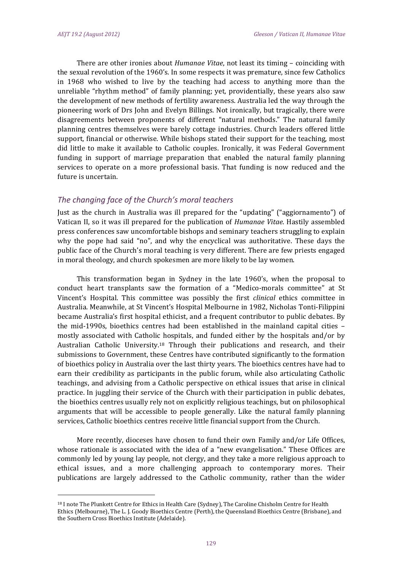There are other ironies about *Humanae Vitae*, not least its timing - coinciding with the sexual revolution of the  $1960$ 's. In some respects it was premature, since few Catholics in 1968 who wished to live by the teaching had access to anything more than the unreliable "rhythm method" of family planning; yet, providentially, these years also saw the development of new methods of fertility awareness. Australia led the way through the pioneering work of Drs John and Evelyn Billings. Not ironically, but tragically, there were disagreements between proponents of different "natural methods." The natural family planning centres themselves were barely cottage industries. Church leaders offered little support, financial or otherwise. While bishops stated their support for the teaching, most did little to make it available to Catholic couples. Ironically, it was Federal Government funding in support of marriage preparation that enabled the natural family planning services to operate on a more professional basis. That funding is now reduced and the future is uncertain.

#### *The changing face of the Church's moral teachers*

Just as the church in Australia was ill prepared for the "updating" ("aggiornamento") of Vatican II, so it was ill prepared for the publication of *Humanae Vitae*. Hastily assembled press conferences saw uncomfortable bishops and seminary teachers struggling to explain why the pope had said "no", and why the encyclical was authoritative. These days the public face of the Church's moral teaching is very different. There are few priests engaged in moral theology, and church spokesmen are more likely to be lay women.

This transformation began in Sydney in the late  $1960$ 's, when the proposal to conduct heart transplants saw the formation of a "Medico-morals committee" at St Vincent's Hospital. This committee was possibly the first *clinical* ethics committee in Australia. Meanwhile, at St Vincent's Hospital Melbourne in 1982, Nicholas Tonti-Filippini became Australia's first hospital ethicist, and a frequent contributor to public debates. By the mid-1990s, bioethics centres had been established in the mainland capital cities  $$ mostly associated with Catholic hospitals, and funded either by the hospitals and/or by Australian Catholic University.<sup>18</sup> Through their publications and research, and their submissions to Government, these Centres have contributed significantly to the formation of bioethics policy in Australia over the last thirty years. The bioethics centres have had to earn their credibility as participants in the public forum, while also articulating Catholic teachings, and advising from a Catholic perspective on ethical issues that arise in clinical practice. In juggling their service of the Church with their participation in public debates, the bioethics centres usually rely not on explicitly religious teachings, but on philosophical arguments that will be accessible to people generally. Like the natural family planning services, Catholic bioethics centres receive little financial support from the Church.

More recently, dioceses have chosen to fund their own Family and/or Life Offices, whose rationale is associated with the idea of a "new evangelisation." These Offices are commonly led by young lay people, not clergy, and they take a more religious approach to ethical issues, and a more challenging approach to contemporary mores. Their publications are largely addressed to the Catholic community, rather than the wider

<sup>&</sup>lt;sup>18</sup> I note The Plunkett Centre for Ethics in Health Care (Sydney), The Caroline Chisholm Centre for Health Ethics (Melbourne), The L. J. Goody Bioethics Centre (Perth), the Queensland Bioethics Centre (Brisbane), and the Southern Cross Bioethics Institute (Adelaide).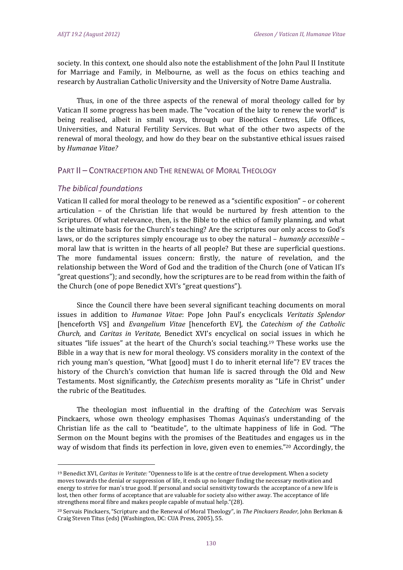society. In this context, one should also note the establishment of the John Paul II Institute for Marriage and Family, in Melbourne, as well as the focus on ethics teaching and research by Australian Catholic University and the University of Notre Dame Australia.

Thus, in one of the three aspects of the renewal of moral theology called for by Vatican II some progress has been made. The "vocation of the laity to renew the world" is being realised, albeit in small ways, through our Bioethics Centres, Life Offices, Universities, and Natural Fertility Services. But what of the other two aspects of the renewal of moral theology, and how do they bear on the substantive ethical issues raised by *Humanae Vitae?*

#### PART II – CONTRACEPTION AND THE RENEWAL OF MORAL THEOLOGY

#### *The biblical foundations*

 

Vatican II called for moral theology to be renewed as a "scientific exposition" – or coherent articulation  $-$  of the Christian life that would be nurtured by fresh attention to the Scriptures. Of what relevance, then, is the Bible to the ethics of family planning, and what is the ultimate basis for the Church's teaching? Are the scriptures our only access to God's laws, or do the scriptures simply encourage us to obey the natural – *humanly accessible* – moral law that is written in the hearts of all people? But these are superficial questions. The more fundamental issues concern: firstly, the nature of revelation, and the relationship between the Word of God and the tradition of the Church (one of Vatican II's "great questions"); and secondly, how the scriptures are to be read from within the faith of the Church (one of pope Benedict XVI's "great questions").

Since the Council there have been several significant teaching documents on moral issues in addition to *Humanae Vitae*: Pope John Paul's encyclicals *Veritatis Splendor* [henceforth VS] and *Evangelium Vitae* [henceforth EV], the *Catechism of the Catholic Church,* and *Caritas in Veritate,* Benedict XVI's encyclical on social issues in which he situates "life issues" at the heart of the Church's social teaching.<sup>19</sup> These works use the Bible in a way that is new for moral theology. VS considers morality in the context of the rich young man's question, "What  $[good]$  must I do to inherit eternal life"? EV traces the history of the Church's conviction that human life is sacred through the Old and New Testaments. Most significantly, the *Catechism* presents morality as "Life in Christ" under the rubric of the Beatitudes.

The theologian most influential in the drafting of the *Catechism* was Servais Pinckaers, whose own theology emphasises Thomas Aquinas's understanding of the Christian life as the call to "beatitude", to the ultimate happiness of life in God. "The Sermon on the Mount begins with the promises of the Beatitudes and engages us in the way of wisdom that finds its perfection in love, given even to enemies."<sup>20</sup> Accordingly, the

<sup>&</sup>lt;sup>19</sup> Benedict XVI, *Caritas in Veritate:* "Openness to life is at the centre of true development. When a society moves towards the denial or suppression of life, it ends up no longer finding the necessary motivation and energy to strive for man's true good. If personal and social sensitivity towards the acceptance of a new life is lost, then other forms of acceptance that are valuable for society also wither away. The acceptance of life strengthens moral fibre and makes people capable of mutual help."(28).

<sup>&</sup>lt;sup>20</sup> Servais Pinckaers, "Scripture and the Renewal of Moral Theology", in *The Pinckaers Reader*, John Berkman & Craig Steven Titus (eds) (Washington, DC: CUA Press, 2005), 55.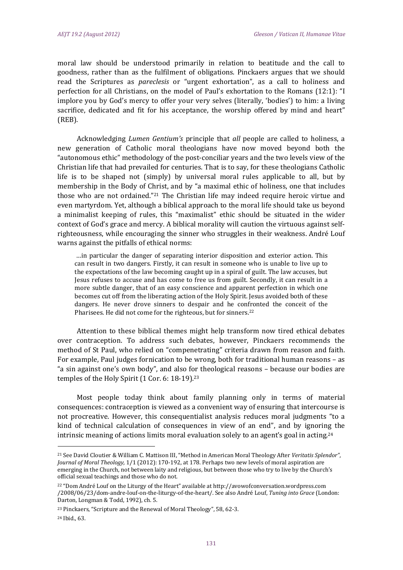moral law should be understood primarily in relation to beatitude and the call to goodness, rather than as the fulfilment of obligations. Pinckaers argues that we should read the Scriptures as *pareclesis* or "urgent exhortation", as a call to holiness and perfection for all Christians, on the model of Paul's exhortation to the Romans (12:1): "I implore you by God's mercy to offer your very selves (literally, 'bodies') to him: a living sacrifice, dedicated and fit for his acceptance, the worship offered by mind and heart" (REB). 

Acknowledging *Lumen Gentium's* principle that *all* people are called to holiness, a new generation of Catholic moral theologians have now moved beyond both the "autonomous ethic" methodology of the post-conciliar years and the two levels view of the Christian life that had prevailed for centuries. That is to say, for these theologians Catholic life is to be shaped not  $\{\text{simply}\}$  by universal moral rules applicable to all, but by membership in the Body of Christ, and by "a maximal ethic of holiness, one that includes those who are not ordained."<sup>21</sup> The Christian life may indeed require heroic virtue and even martyrdom. Yet, although a biblical approach to the moral life should take us beyond a minimalist keeping of rules, this "maximalist" ethic should be situated in the wider context of God's grace and mercy. A biblical morality will caution the virtuous against selfrighteousness, while encouraging the sinner who struggles in their weakness. André Louf warns against the pitfalls of ethical norms:

...in particular the danger of separating interior disposition and exterior action. This can result in two dangers. Firstly, it can result in someone who is unable to live up to the expectations of the law becoming caught up in a spiral of guilt. The law accuses, but Jesus refuses to accuse and has come to free us from guilt. Secondly, it can result in a more subtle danger, that of an easy conscience and apparent perfection in which one becomes cut off from the liberating action of the Holy Spirit. Jesus avoided both of these dangers. He never drove sinners to despair and he confronted the conceit of the Pharisees. He did not come for the righteous, but for sinners.<sup>22</sup>

Attention to these biblical themes might help transform now tired ethical debates over contraception. To address such debates, however, Pinckaers recommends the method of St Paul, who relied on "compenetrating" criteria drawn from reason and faith. For example, Paul judges fornication to be wrong, both for traditional human reasons  $-$  as "a sin against one's own body", and also for theological reasons - because our bodies are temples of the Holy Spirit  $(1$  Cor. 6: 18-19).<sup>23</sup>

Most people today think about family planning only in terms of material consequences: contraception is viewed as a convenient way of ensuring that intercourse is not procreative. However, this consequentialist analysis reduces moral judgments "to a kind of technical calculation of consequences in view of an end", and by ignoring the intrinsic meaning of actions limits moral evaluation solely to an agent's goal in acting.<sup>24</sup>

<sup>&</sup>lt;sup>21</sup> See David Cloutier & William C. Mattison III, "Method in American Moral Theology After Veritatis Splendor", *Journal of Moral Theology, 1/1* (2012): 170-192, at 178. Perhaps two new levels of moral aspiration are emerging in the Church, not between laity and religious, but between those who try to live by the Church's official sexual teachings and those who do not.

 $22$  "Dom André Louf on the Liturgy of the Heart" available at http://avowofconversation.wordpress.com /2008/06/23/dom‐andre‐louf‐on‐the‐liturgy‐of‐the‐heart/. See also André Louf, *Tuning into Grace* (London: Darton, Longman & Todd, 1992), ch. 5.

<sup>&</sup>lt;sup>23</sup> Pinckaers, "Scripture and the Renewal of Moral Theology", 58, 62-3.

<sup>&</sup>lt;sup>24</sup> Ibid., 63.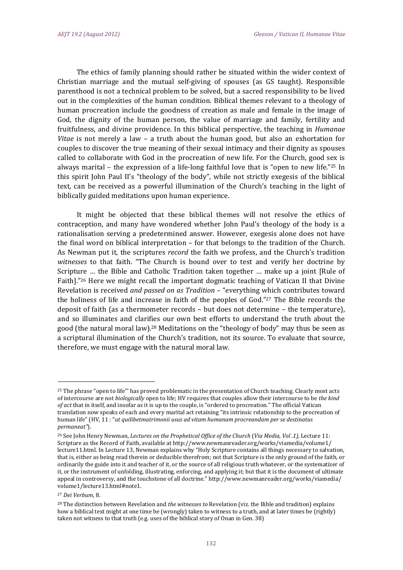The ethics of family planning should rather be situated within the wider context of Christian marriage and the mutual self-giving of spouses (as GS taught). Responsible parenthood is not a technical problem to be solved, but a sacred responsibility to be lived out in the complexities of the human condition. Biblical themes relevant to a theology of human procreation include the goodness of creation as male and female in the image of God, the dignity of the human person, the value of marriage and family, fertility and fruitfulness, and divine providence. In this biblical perspective, the teaching in *Humanae Vitae* is not merely a law – a truth about the human good, but also an exhortation for couples to discover the true meaning of their sexual intimacy and their dignity as spouses called to collaborate with God in the procreation of new life. For the Church, good sex is always marital  $-$  the expression of a life-long faithful love that is "open to new life."<sup>25</sup> In this spirit John Paul II's "theology of the body", while not strictly exegesis of the biblical text, can be received as a powerful illumination of the Church's teaching in the light of biblically guided meditations upon human experience.

It might be objected that these biblical themes will not resolve the ethics of contraception, and many have wondered whether John Paul's theology of the body is a rationalisation serving a predetermined answer. However, exegesis alone does not have the final word on biblical interpretation  $-$  for that belongs to the tradition of the Church. As Newman put it, the scriptures *record* the faith we profess, and the Church's tradition witnesses to that faith. "The Church is bound over to test and verify her doctrine by Scripture  $\ldots$  the Bible and Catholic Tradition taken together  $\ldots$  make up a joint [Rule of Faith]."<sup>26</sup> Here we might recall the important dogmatic teaching of Vatican II that Divine Revelation is received *and passed on as Tradition* – "everything which contributes toward the holiness of life and increase in faith of the peoples of God."27 The Bible records the deposit of faith (as a thermometer records  $-$  but does not determine  $-$  the temperature), and so illuminates and clarifies our own best efforts to understand the truth about the good (the natural moral law).<sup>28</sup> Meditations on the "theology of body" may thus be seen as a scriptural illumination of the Church's tradition, not its source. To evaluate that source, therefore, we must engage with the natural moral law.

 $25$  The phrase "open to life"' has proved problematic in the presentation of Church teaching. Clearly most acts of intercourse are not *biologically* open to life; HV requires that couples allow their intercourse to be *the kind of act* that in itself, and insofar as it is up to the couple, is "ordered to procreation." The official Vatican translation now speaks of each and every marital act retaining "its intrinsic relationship to the procreation of human life" (HV, 11 : "*ut quilibetmatrimonii usus ad vitam humanam procreandam per se destinatus permaneat"*). 

<sup>26</sup> See John Henry Newman, *Lectures on the Prophetical Office of the Church* (*Via Media, Vol .1),* Lecture 11: Scripture as the Record of Faith, available at http://www.newmanreader.org/works/viamedia/volume1/ lecture11.html. In Lecture 13, Newman explains why "Holy Scripture contains all things necessary to salvation, that is, either as being read therein or deducible therefrom; not that Scripture is the only ground of the faith, or ordinarily the guide into it and teacher of it, or the source of all religious truth whatever, or the systematizer of it, or the instrument of unfolding, illustrating, enforcing, and applying it; but that it is the document of ultimate appeal in controversy, and the touchstone of all doctrine." http://www.newmanreader.org/works/viamedia/ volume1/lecture13.html#note1. 

<sup>27</sup> *Dei Verbum*, 8. 

<sup>&</sup>lt;sup>28</sup> The distinction between Revelation and *the witnesses to* Revelation (viz. the Bible and tradition) explains how a biblical text might at one time be (wrongly) taken to witness to a truth, and at later times be (rightly) taken not witness to that truth (e.g. uses of the biblical story of Onan in Gen. 38)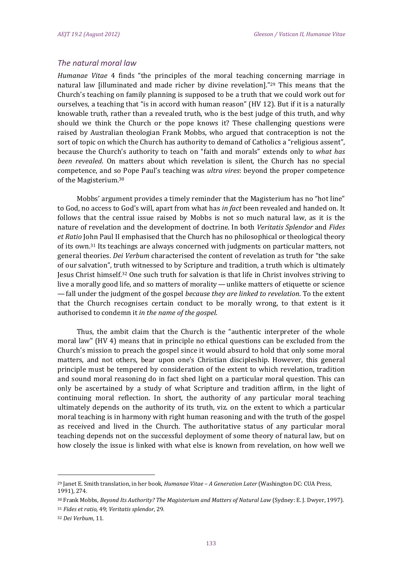## *The natural moral law*

*Humanae Vitae* 4 finds "the principles of the moral teaching concerning marriage in natural law [illuminated and made richer by divine revelation]."<sup>29</sup> This means that the Church's teaching on family planning is supposed to be a truth that we could work out for ourselves, a teaching that "is in accord with human reason" (HV 12). But if it is a naturally knowable truth, rather than a revealed truth, who is the best judge of this truth, and why should we think the Church or the pope knows it? These challenging questions were raised by Australian theologian Frank Mobbs, who argued that contraception is not the sort of topic on which the Church has authority to demand of Catholics a "religious assent", because the Church's authority to teach on "faith and morals" extends only to what has *been revealed*. On matters about which revelation is silent, the Church has no special competence, and so Pope Paul's teaching was *ultra vires*: beyond the proper competence of the Magisterium.<sup>30</sup>

Mobbs' argument provides a timely reminder that the Magisterium has no "hot line" to God, no access to God's will, apart from what has *in fact* been revealed and handed on. It follows that the central issue raised by Mobbs is not so much natural law, as it is the nature of revelation and the development of doctrine. In both *Veritatis Splendor* and *Fides et* Ratio John Paul II emphasised that the Church has no philosophical or theological theory of its own.<sup>31</sup> Its teachings are always concerned with judgments on particular matters, not general theories. *Dei Verbum* characterised the content of revelation as truth for "the sake of our salvation", truth witnessed to by Scripture and tradition, a truth which is ultimately Jesus Christ himself.<sup>32</sup> One such truth for salvation is that life in Christ involves striving to live a morally good life, and so matters of morality—unlike matters of etiquette or science  $-$  fall under the judgment of the gospel *because they are linked to revelation*. To the extent that the Church recognises certain conduct to be morally wrong, to that extent is it authorised to condemn it *in the name of the gospel*. 

Thus, the ambit claim that the Church is the "authentic interpreter of the whole moral law" (HV 4) means that in principle no ethical questions can be excluded from the Church's mission to preach the gospel since it would absurd to hold that only some moral matters, and not others, bear upon one's Christian discipleship. However, this general principle must be tempered by consideration of the extent to which revelation, tradition and sound moral reasoning do in fact shed light on a particular moral question. This can only be ascertained by a study of what Scripture and tradition affirm, in the light of continuing moral reflection. In short, the authority of any particular moral teaching ultimately depends on the authority of its truth, viz. on the extent to which a particular moral teaching is in harmony with right human reasoning and with the truth of the gospel as received and lived in the Church. The authoritative status of any particular moral teaching depends not on the successful deployment of some theory of natural law, but on how closely the issue is linked with what else is known from revelation, on how well we

<sup>31</sup> *Fides et ratio,* 49; *Veritatis splendor*, 29. 

<sup>&</sup>lt;sup>29</sup> Janet E. Smith translation, in her book, *Humanae Vitae* - *A Generation Later* (Washington DC: CUA Press, 1991), 274.

<sup>30</sup> Frank Mobbs, *Beyond Its Authority? The Magisterium and Matters of Natural Law* (Sydney: E. J. Dwyer, 1997). 

<sup>32</sup> *Dei Verbum*, 11.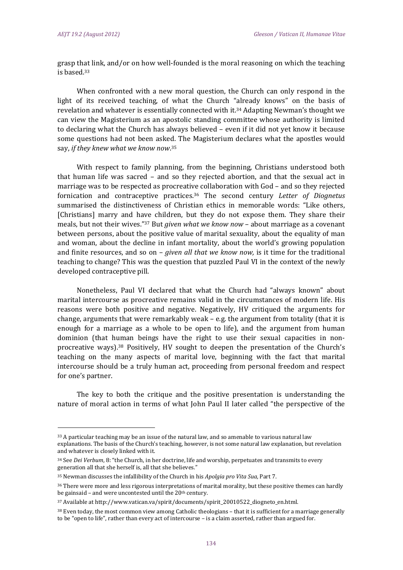grasp that link, and/or on how well-founded is the moral reasoning on which the teaching is hased 33

When confronted with a new moral question, the Church can only respond in the light of its received teaching, of what the Church "already knows" on the basis of revelation and whatever is essentially connected with it.<sup>34</sup> Adapting Newman's thought we can view the Magisterium as an apostolic standing committee whose authority is limited to declaring what the Church has always believed - even if it did not yet know it because some questions had not been asked. The Magisterium declares what the apostles would say, if they knew what we know now.<sup>35</sup>

With respect to family planning, from the beginning, Christians understood both that human life was sacred  $-$  and so they rejected abortion, and that the sexual act in marriage was to be respected as procreative collaboration with God – and so they rejected fornication and contraceptive practices.36 The second century *Letter of Diognetus* summarised the distinctiveness of Christian ethics in memorable words: "Like others, [Christians] marry and have children, but they do not expose them. They share their meals, but not their wives."<sup>37</sup> But *given what we know now* – about marriage as a covenant between persons, about the positive value of marital sexuality, about the equality of man and woman, about the decline in infant mortality, about the world's growing population and finite resources, and so on – *given all that we know now*, is it time for the traditional teaching to change? This was the question that puzzled Paul VI in the context of the newly developed contraceptive pill.

Nonetheless, Paul VI declared that what the Church had "always known" about marital intercourse as procreative remains valid in the circumstances of modern life. His reasons were both positive and negative. Negatively, HV critiqued the arguments for change, arguments that were remarkably weak - e.g. the argument from totality (that it is enough for a marriage as a whole to be open to life), and the argument from human dominion (that human beings have the right to use their sexual capacities in nonprocreative ways).<sup>38</sup> Positively, HV sought to deepen the presentation of the Church's teaching on the many aspects of marital love, beginning with the fact that marital intercourse should be a truly human act, proceeding from personal freedom and respect for one's partner.

The key to both the critique and the positive presentation is understanding the nature of moral action in terms of what John Paul II later called "the perspective of the

<sup>33</sup> A particular teaching may be an issue of the natural law, and so amenable to various natural law explanations. The basis of the Church's teaching, however, is not some natural law explanation, but revelation and whatever is closely linked with it.

<sup>&</sup>lt;sup>34</sup> See *Dei Verbum*, 8: "the Church, in her doctrine, life and worship, perpetuates and transmits to every generation all that she herself is, all that she believes."

<sup>35</sup> Newman discusses the infallibility of the Church in his *Apolgia pro Vita Sua*, Part 7.

<sup>&</sup>lt;sup>36</sup> There were more and less rigorous interpretations of marital morality, but these positive themes can hardly be gainsaid – and were uncontested until the  $20$ <sup>th</sup> century.

<sup>37</sup> Available at http://www.vatican.va/spirit/documents/spirit\_20010522\_diogneto\_en.html.

 $38$  Even today, the most common view among Catholic theologians – that it is sufficient for a marriage generally to be "open to life", rather than every act of intercourse - is a claim asserted, rather than argued for.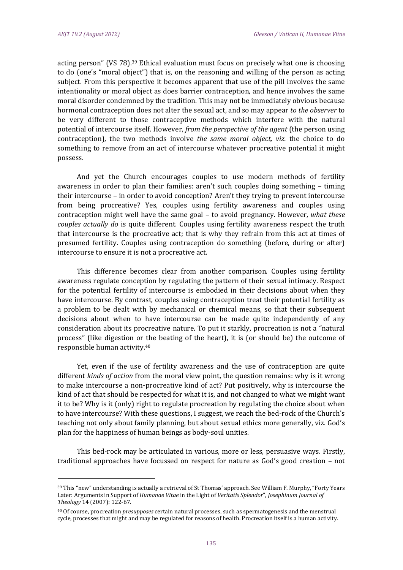acting person" (VS 78).<sup>39</sup> Ethical evaluation must focus on precisely what one is choosing to do (one's "moral object") that is, on the reasoning and willing of the person as acting subject. From this perspective it becomes apparent that use of the pill involves the same intentionality or moral object as does barrier contraception, and hence involves the same moral disorder condemned by the tradition. This may not be immediately obvious because hormonal contraception does not alter the sexual act, and so may appear *to the observer* to be very different to those contraceptive methods which interfere with the natural potential of intercourse itself. However, from the perspective of the agent (the person using contraception), the two methods involve *the same moral object*, *viz*. the choice to do something to remove from an act of intercourse whatever procreative potential it might possess. 

And yet the Church encourages couples to use modern methods of fertility awareness in order to plan their families: aren't such couples doing something  $-$  timing their intercourse - in order to avoid conception? Aren't they trying to prevent intercourse from being procreative? Yes, couples using fertility awareness and couples using contraception might well have the same goal – to avoid pregnancy. However, *what these couples actually do* is quite different. Couples using fertility awareness respect the truth that intercourse is the procreative act; that is why they refrain from this act at times of presumed fertility. Couples using contraception do something (before, during or after) intercourse to ensure it is not a procreative act.

This difference becomes clear from another comparison. Couples using fertility awareness regulate conception by regulating the pattern of their sexual intimacy. Respect for the potential fertility of intercourse is embodied in their decisions about when they have intercourse. By contrast, couples using contraception treat their potential fertility as a problem to be dealt with by mechanical or chemical means, so that their subsequent decisions about when to have intercourse can be made quite independently of any consideration about its procreative nature. To put it starkly, procreation is not a "natural process" (like digestion or the beating of the heart), it is (or should be) the outcome of responsible human activity.<sup>40</sup>

Yet, even if the use of fertility awareness and the use of contraception are quite different *kinds* of *action* from the moral view point, the question remains: why is it wrong to make intercourse a non-procreative kind of act? Put positively, why is intercourse the kind of act that should be respected for what it is, and not changed to what we might want it to be? Why is it  $(0, \text{ln}y)$  right to regulate procreation by regulating the choice about when to have intercourse? With these questions, I suggest, we reach the bed-rock of the Church's teaching not only about family planning, but about sexual ethics more generally, viz. God's plan for the happiness of human beings as body-soul unities.

This bed-rock may be articulated in various, more or less, persuasive ways. Firstly, traditional approaches have focussed on respect for nature as  $God's good creation - not$ 

<sup>&</sup>lt;sup>39</sup> This "new" understanding is actually a retrieval of St Thomas' approach. See William F. Murphy, "Forty Years Later: Arguments in Support of *Humanae Vitae* in the Light of *Veritatis Splendor"*, *Josephinum Journal of Theology* 14 (2007): 122‐67. 

<sup>&</sup>lt;sup>40</sup> Of course, procreation *presupposes* certain natural processes, such as spermatogenesis and the menstrual cycle, processes that might and may be regulated for reasons of health. Procreation itself is a human activity.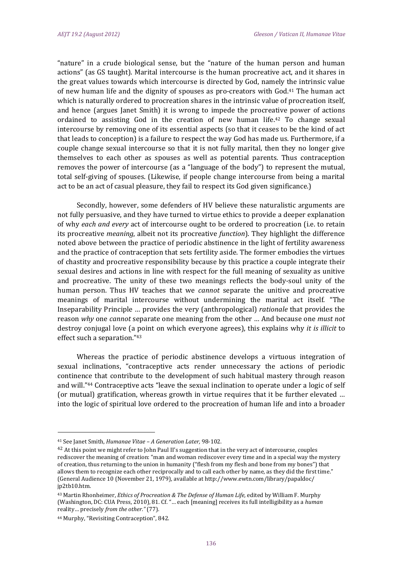"nature" in a crude biological sense, but the "nature of the human person and human actions" (as GS taught). Marital intercourse is the human procreative act, and it shares in the great values towards which intercourse is directed by God, namely the intrinsic value of new human life and the dignity of spouses as pro-creators with  $God.<sup>41</sup>$  The human act which is naturally ordered to procreation shares in the intrinsic value of procreation itself, and hence (argues Janet Smith) it is wrong to impede the procreative power of actions ordained to assisting God in the creation of new human life.<sup>42</sup> To change sexual intercourse by removing one of its essential aspects (so that it ceases to be the kind of act that leads to conception) is a failure to respect the way God has made us. Furthermore, if a couple change sexual intercourse so that it is not fully marital, then they no longer give themselves to each other as spouses as well as potential parents. Thus contraception removes the power of intercourse (as a "language of the body") to represent the mutual, total self-giving of spouses. (Likewise, if people change intercourse from being a marital act to be an act of casual pleasure, they fail to respect its God given significance.)

Secondly, however, some defenders of HV believe these naturalistic arguments are not fully persuasive, and they have turned to virtue ethics to provide a deeper explanation of why *each* and *every* act of intercourse ought to be ordered to procreation (i.e. to retain its procreative *meaning*, albeit not its procreative *function*). They highlight the difference noted above between the practice of periodic abstinence in the light of fertility awareness and the practice of contraception that sets fertility aside. The former embodies the virtues of chastity and procreative responsibility because by this practice a couple integrate their sexual desires and actions in line with respect for the full meaning of sexuality as unitive and procreative. The unity of these two meanings reflects the body-soul unity of the human person. Thus HV teaches that we *cannot* separate the unitive and procreative meanings of marital intercourse without undermining the marital act itself. "The Inseparability Principle ... provides the very (anthropological) *rationale* that provides the reason why one *cannot* separate one meaning from the other ... And because one *must not* destroy conjugal love (a point on which everyone agrees), this explains why *it is illicit* to effect such a separation."<sup>43</sup>

Whereas the practice of periodic abstinence develops a virtuous integration of sexual inclinations, "contraceptive acts render unnecessary the actions of periodic continence that contribute to the development of such habitual mastery through reason and will."<sup>44</sup> Contraceptive acts "leave the sexual inclination to operate under a logic of self (or mutual) gratification, whereas growth in virtue requires that it be further elevated ... into the logic of spiritual love ordered to the procreation of human life and into a broader

<sup>41</sup> See Janet Smith, *Humanae Vitae – A Generation Later,* 98‐102. 

 $42$  At this point we might refer to John Paul II's suggestion that in the very act of intercourse, couples rediscover the meaning of creation: "man and woman rediscover every time and in a special way the mystery of creation, thus returning to the union in humanity ("flesh from my flesh and bone from my bones") that allows them to recognize each other reciprocally and to call each other by name, as they did the first time." (General Audience 10 (November 21, 1979), available at http://www.ewtn.com/library/papaldoc/ jp2tb10.htm.

<sup>43</sup> Martin Rhonheimer, *Ethics of Procreation & The Defense of Human Life,* edited by William F. Murphy (Washington, DC: CUA Press, 2010), 81. Cf. "... each [meaning] receives its full intelligibility as a *human* reality… precisely *from the other."* (77). 

<sup>&</sup>lt;sup>44</sup> Murphy, "Revisiting Contraception", 842.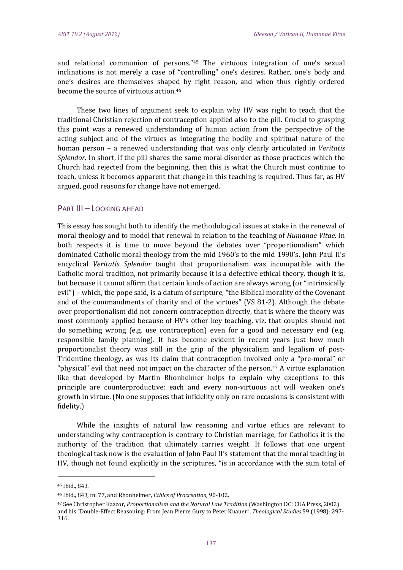and relational communion of persons."45 The virtuous integration of one's sexual inclinations is not merely a case of "controlling" one's desires. Rather, one's body and one's desires are themselves shaped by right reason, and when thus rightly ordered become the source of virtuous action.<sup>46</sup>

These two lines of argument seek to explain why HV was right to teach that the traditional Christian rejection of contraception applied also to the pill. Crucial to grasping this point was a renewed understanding of human action from the perspective of the acting subject and of the virtues as integrating the bodily and spiritual nature of the human person – a renewed understanding that was only clearly articulated in *Veritatis Splendor.* In short, if the pill shares the same moral disorder as those practices which the Church had rejected from the beginning, then this is what the Church must continue to teach, unless it becomes apparent that change in this teaching is required. Thus far, as HV argued, good reasons for change have not emerged.

#### PART III - LOOKING AHEAD

This essay has sought both to identify the methodological issues at stake in the renewal of moral theology and to model that renewal in relation to the teaching of *Humanae Vitae*. In both respects it is time to move beyond the debates over "proportionalism" which dominated Catholic moral theology from the mid 1960's to the mid 1990's. John Paul II's encyclical *Veritatis Splendor* taught that proportionalism was incompatible with the Catholic moral tradition, not primarily because it is a defective ethical theory, though it is, but because it cannot affirm that certain kinds of action are always wrong (or "intrinsically evil") – which, the pope said, is a datum of scripture, "the Biblical morality of the Covenant and of the commandments of charity and of the virtues" (VS 81-2). Although the debate over proportionalism did not concern contraception directly, that is where the theory was most commonly applied because of HV's other key teaching, viz. that couples should not do something wrong (e.g. use contraception) even for a good and necessary end (e.g. responsible family planning). It has become evident in recent years just how much proportionalist theory was still in the grip of the physicalism and legalism of post-Tridentine theology, as was its claim that contraception involved only a "pre-moral" or "physical" evil that need not impact on the character of the person.<sup>47</sup> A virtue explanation like that developed by Martin Rhonheimer helps to explain why exceptions to this principle are counterproductive: each and every non-virtuous act will weaken one's growth in virtue. (No one supposes that infidelity only on rare occasions is consistent with fidelity.) 

While the insights of natural law reasoning and virtue ethics are relevant to understanding why contraception is contrary to Christian marriage, for Catholics it is the authority of the tradition that ultimately carries weight. It follows that one urgent theological task now is the evaluation of John Paul II's statement that the moral teaching in HV, though not found explicitly in the scriptures, "is in accordance with the sum total of

<sup>45</sup> Ibid., 843.

<sup>46</sup> Ibid., 843, fn. 77, and Rhonheimer, *Ethics of Procreation,* 90‐102. 

<sup>47</sup> See Christopher Kazcor, *Proportionalism and the Natural Law Tradition* (Washington DC: CUA Press, 2002) and his "Double-Effect Reasoning: From Jean Pierre Gury to Peter Knauer", *Theological Studies* 59 (1998): 297-316.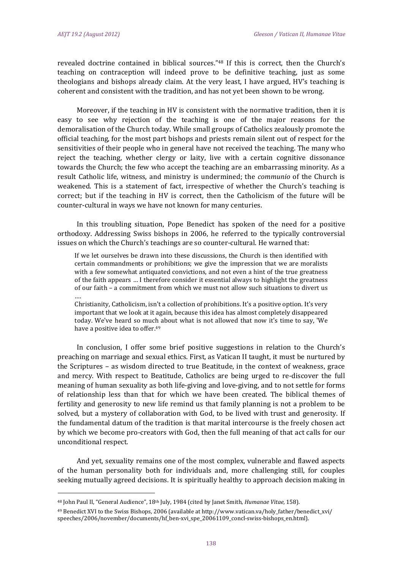revealed doctrine contained in biblical sources."<sup>48</sup> If this is correct, then the Church's teaching on contraception will indeed prove to be definitive teaching, just as some theologians and bishops already claim. At the very least, I have argued, HV's teaching is coherent and consistent with the tradition, and has not yet been shown to be wrong.

Moreover, if the teaching in HV is consistent with the normative tradition, then it is easy to see why rejection of the teaching is one of the major reasons for the demoralisation of the Church today. While small groups of Catholics zealously promote the official teaching, for the most part bishops and priests remain silent out of respect for the sensitivities of their people who in general have not received the teaching. The many who reject the teaching, whether clergy or laity, live with a certain cognitive dissonance towards the Church; the few who accept the teaching are an embarrassing minority. As a result Catholic life, witness, and ministry is undermined; the *communio* of the Church is weakened. This is a statement of fact, irrespective of whether the Church's teaching is correct; but if the teaching in HV is correct, then the Catholicism of the future will be counter-cultural in ways we have not known for many centuries.

In this troubling situation, Pope Benedict has spoken of the need for a positive orthodoxy. Addressing Swiss bishops in 2006, he referred to the typically controversial issues on which the Church's teachings are so counter-cultural. He warned that:

If we let ourselves be drawn into these discussions, the Church is then identified with certain commandments or prohibitions; we give the impression that we are moralists with a few somewhat antiquated convictions, and not even a hint of the true greatness of the faith appears ... I therefore consider it essential always to highlight the greatness of our faith – a commitment from which we must not allow such situations to divert us …. 

Christianity, Catholicism, isn't a collection of prohibitions. It's a positive option. It's very important that we look at it again, because this idea has almost completely disappeared today. We've heard so much about what is not allowed that now it's time to say, 'We have a positive idea to offer.<sup>49</sup>

In conclusion, I offer some brief positive suggestions in relation to the Church's preaching on marriage and sexual ethics. First, as Vatican II taught, it must be nurtured by the Scriptures  $-$  as wisdom directed to true Beatitude, in the context of weakness, grace and mercy. With respect to Beatitude, Catholics are being urged to re-discover the full meaning of human sexuality as both life-giving and love-giving, and to not settle for forms of relationship less than that for which we have been created. The biblical themes of fertility and generosity to new life remind us that family planning is not a problem to be solved, but a mystery of collaboration with God, to be lived with trust and generosity. If the fundamental datum of the tradition is that marital intercourse is the freely chosen act by which we become pro-creators with God, then the full meaning of that act calls for our unconditional respect.

And yet, sexuality remains one of the most complex, vulnerable and flawed aspects of the human personality both for individuals and, more challenging still, for couples seeking mutually agreed decisions. It is spiritually healthy to approach decision making in

<sup>48</sup> John Paul II, "General Audience", 18th July, 1984 (cited by Janet Smith, *Humanae Vitae,* 158). 

 $49$  Benedict XVI to the Swiss Bishops, 2006 (available at http://www.vatican.va/holy\_father/benedict\_xvi/ speeches/2006/november/documents/hf\_ben-xvi\_spe\_20061109\_concl-swiss-bishops\_en.html).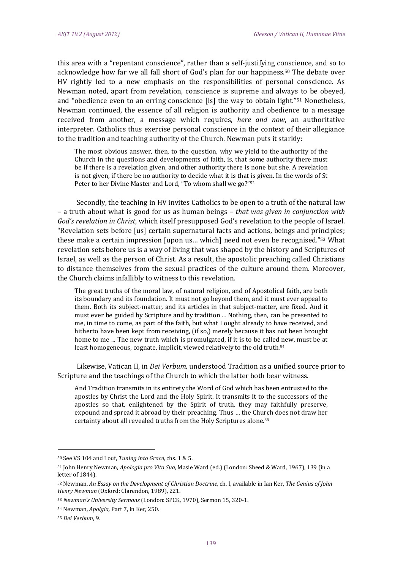this area with a "repentant conscience", rather than a self-justifying conscience, and so to acknowledge how far we all fall short of God's plan for our happiness.<sup>50</sup> The debate over HV rightly led to a new emphasis on the responsibilities of personal conscience. As Newman noted, apart from revelation, conscience is supreme and always to be obeyed, and "obedience even to an erring conscience [is] the way to obtain light."<sup>51</sup> Nonetheless, Newman continued, the essence of all religion is authority and obedience to a message received from another, a message which requires, here and now, an authoritative interpreter. Catholics thus exercise personal conscience in the context of their allegiance to the tradition and teaching authority of the Church. Newman puts it starkly:

The most obvious answer, then, to the question, why we yield to the authority of the Church in the questions and developments of faith, is, that some authority there must be if there is a revelation given, and other authority there is none but she. A revelation is not given, if there be no authority to decide what it is that is given. In the words of St Peter to her Divine Master and Lord, "To whom shall we go?"<sup>52</sup>

Secondly, the teaching in HV invites Catholics to be open to a truth of the natural law – a truth about what is good for us as human beings – *that was given in conjunction with God's* revelation in *Christ*, which itself presupposed God's revelation to the people of Israel. "Revelation sets before [us] certain supernatural facts and actions, beings and principles; these make a certain impression [upon us... which] need not even be recognised."<sup>53</sup> What revelation sets before us is a way of living that was shaped by the history and Scriptures of Israel, as well as the person of Christ. As a result, the apostolic preaching called Christians to distance themselves from the sexual practices of the culture around them. Moreover, the Church claims infallibly to witness to this revelation.

The great truths of the moral law, of natural religion, and of Apostolical faith, are both its boundary and its foundation. It must not go beyond them, and it must ever appeal to them. Both its subject-matter, and its articles in that subject-matter, are fixed. And it must ever be guided by Scripture and by tradition ... Nothing, then, can be presented to me, in time to come, as part of the faith, but what I ought already to have received, and hitherto have been kept from receiving, (if so,) merely because it has not been brought home to me ... The new truth which is promulgated, if it is to be called new, must be at least homogeneous, cognate, implicit, viewed relatively to the old truth.<sup>54</sup>

Likewise, Vatican II, in *Dei Verbum*, understood Tradition as a unified source prior to Scripture and the teachings of the Church to which the latter both bear witness.

And Tradition transmits in its entirety the Word of God which has been entrusted to the apostles by Christ the Lord and the Holy Spirit. It transmits it to the successors of the apostles so that, enlightened by the Spirit of truth, they may faithfully preserve, expound and spread it abroad by their preaching. Thus ... the Church does not draw her certainty about all revealed truths from the Holy Scriptures alone.<sup>55</sup>

<sup>50</sup> See VS 104 and Louf, *Tuning into Grace,* chs. 1 & 5. 

<sup>51</sup> John Henry Newman, *Apologia pro Vita Sua*, Masie Ward (ed.) (London: Sheed & Ward, 1967), 139 (in a letter of 1844).

<sup>52</sup> Newman, *An Essay on the Development of Christian Doctrine,* ch. I, available in Ian Ker, *The Genius of John Henry Newman* (Oxford: Clarendon, 1989), 221.

<sup>53</sup> *Newman's University Sermons* (London: SPCK, 1970), Sermon 15, 320-1.

<sup>&</sup>lt;sup>54</sup> Newman, *Apolgia*, Part 7, in Ker, 250.

<sup>55</sup> *Dei Verbum*, 9.